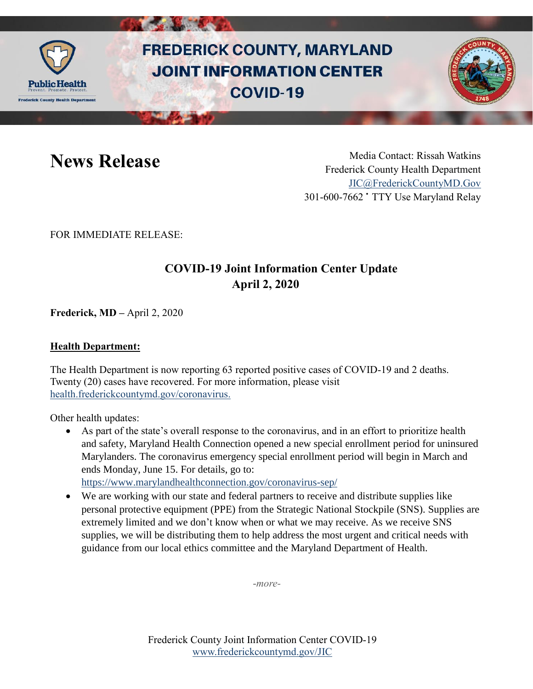

# **FREDERICK COUNTY, MARYLAND JOINT INFORMATION CENTER COVID-19**

News Release Media Contact: Rissah Watkins Frederick County Health Department [JIC@FrederickCountyMD.Gov](mailto:JIC@FrederickCountyMD.Gov) 301-600-7662 • TTY Use Maryland Relay

FOR IMMEDIATE RELEASE:

## **COVID-19 Joint Information Center Update April 2, 2020**

**Frederick, MD –** April 2, 2020

### **Health Department:**

The Health Department is now reporting 63 reported positive cases of COVID-19 and 2 deaths. Twenty (20) cases have recovered. For more information, please visit [health.frederickcountymd.gov/coronavirus.](https://health.frederickcountymd.gov/614/Novel-Coronavirus-COVID-19)

Other health updates:

 As part of the state's overall response to the coronavirus, and in an effort to prioritize health and safety, Maryland Health Connection opened a new special enrollment period for uninsured Marylanders. The coronavirus emergency special enrollment period will begin in March and ends Monday, June 15. For details, go to: <https://www.marylandhealthconnection.gov/coronavirus-sep/>

 We are working with our state and federal partners to receive and distribute supplies like personal protective equipment (PPE) from the Strategic National Stockpile (SNS). Supplies are extremely limited and we don't know when or what we may receive. As we receive SNS supplies, we will be distributing them to help address the most urgent and critical needs with guidance from our local ethics committee and the Maryland Department of Health.

-*more-*